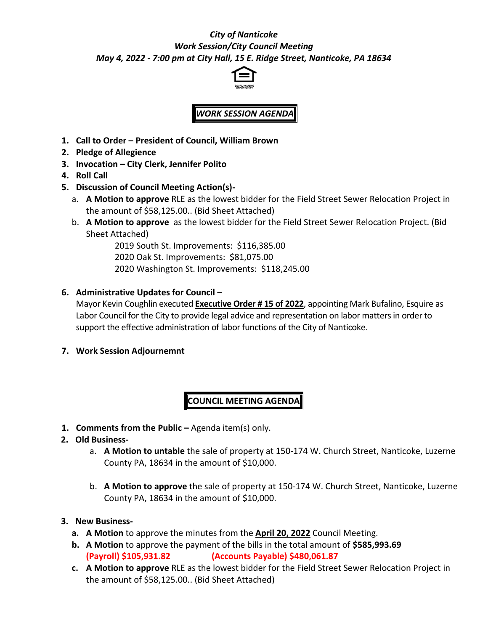# *City of Nanticoke Work Session/City Council Meeting May 4, 2022 - 7:00 pm at City Hall, 15 E. Ridge Street, Nanticoke, PA 18634*



# *WORK SESSION AGENDA*

- **1. Call to Order – President of Council, William Brown**
- **2. Pledge of Allegience**
- **3. Invocation – City Clerk, Jennifer Polito**
- **4. Roll Call**
- **5. Discussion of Council Meeting Action(s)**
	- a. **A Motion to approve** RLE as the lowest bidder for the Field Street Sewer Relocation Project in the amount of \$58,125.00.. (Bid Sheet Attached)
	- b. **A Motion to approve** as the lowest bidder for the Field Street Sewer Relocation Project. (Bid Sheet Attached)

2019 South St. Improvements: \$116,385.00 2020 Oak St. Improvements: \$81,075.00 2020 Washington St. Improvements: \$118,245.00

### **6. Administrative Updates for Council –**

Mayor Kevin Coughlin executed **Executive Order # 15 of 2022**, appointing Mark Bufalino, Esquire as Labor Council for the City to provide legal advice and representation on labor matters in order to support the effective administration of labor functions of the City of Nanticoke.

**7. Work Session Adjournemnt**

# **COUNCIL MEETING AGENDA**

**1. Comments from the Public –** Agenda item(s) only.

#### **2. Old Business-**

- a. **A Motion to untable** the sale of property at 150-174 W. Church Street, Nanticoke, Luzerne County PA, 18634 in the amount of \$10,000.
- b. **A Motion to approve** the sale of property at 150-174 W. Church Street, Nanticoke, Luzerne County PA, 18634 in the amount of \$10,000.

#### **3. New Business-**

- **a. A Motion** to approve the minutes from the **April 20, 2022** Council Meeting.
- **b. A Motion** to approve the payment of the bills in the total amount of **\$585,993.69 (Payroll) \$105,931.82 (Accounts Payable) \$480,061.87**
- **c. A Motion to approve** RLE as the lowest bidder for the Field Street Sewer Relocation Project in the amount of \$58,125.00.. (Bid Sheet Attached)